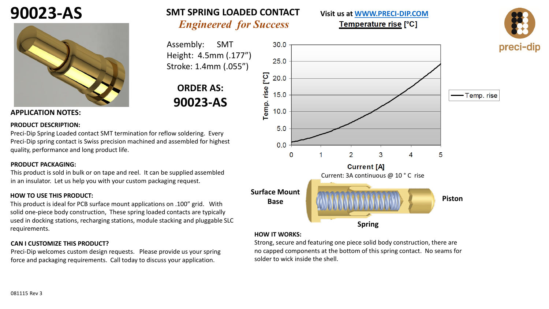## **90023-AS**



### **SMT SPRING LOADED CONTACT**

*Engineered for Success*

Assembly: SMT Height: 4.5mm (.177") Stroke: 1.4mm (.055")

## **ORDER AS: 90023-AS**

#### **APPLICATION NOTES:**

#### **PRODUCT DESCRIPTION:**

Preci-Dip Spring Loaded contact SMT termination for reflow soldering. Every Preci-Dip spring contact is Swiss precision machined and assembled for highest quality, performance and long product life.

#### **PRODUCT PACKAGING:**

081115 Rev 3

This product is sold in bulk or on tape and reel. It can be supplied assembled in an insulator. Let us help you with your custom packaging request.

#### **HOW TO USE THIS PRODUCT:**

This product is ideal for PCB surface mount applications on .100" grid. With solid one-piece body construction, These spring loaded contacts are typically used in docking stations, recharging stations, module stacking and pluggable SLC requirements.

#### **CAN I CUSTOMIZE THIS PRODUCT?**

Preci-Dip welcomes custom design requests. Please provide us your spring force and packaging requirements. Call today to discuss your application.



**Visit us at [WWW.PRECI-DIP.COM](http://www.precidip.com/Default.aspx)**Temperature rise [°C]

#### **HOW IT WORKS:**

Strong, secure and featuring one piece solid body construction, there are no capped components at the bottom of this spring contact. No seams for solder to wick inside the shell.